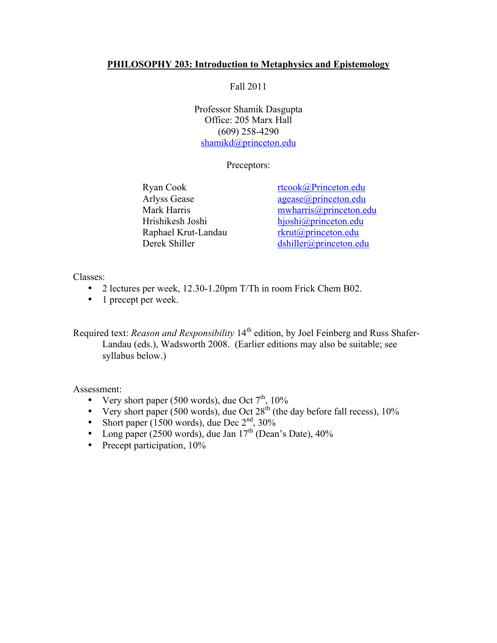## **PHILOSOPHY 203: Introduction to Metaphysics and Epistemology**

Fall 2011

Professor Shamik Dasgupta Office: 205 Marx Hall (609) 258-4290 shamikd@princeton.edu

Preceptors:

Raphael Krut-Landau rkrut@princeton.edu

Ryan Cook rtcook@Princeton.edu Arlyss Gease agease@princeton.edu Mark Harris mwharris *mwharris @princeton.edu* Hrishikesh Joshi hjoshi@princeton.edu Derek Shiller dshiller@princeton.edu

Classes:

- 2 lectures per week, 12.30-1.20pm T/Th in room Frick Chem B02.
- 1 precept per week.

Required text: *Reason and Responsibility* 14<sup>th</sup> edition, by Joel Feinberg and Russ Shafer-Landau (eds.), Wadsworth 2008. (Earlier editions may also be suitable; see syllabus below.)

Assessment:

- Very short paper (500 words), due Oct  $7<sup>th</sup>$ , 10%
- Very short paper (500 words), due Oct  $28<sup>th</sup>$  (the day before fall recess), 10%
- Short paper (1500 words), due Dec  $2<sup>nd</sup>$ , 30%
- Long paper (2500 words), due Jan  $17<sup>th</sup>$  (Dean's Date), 40%
- Precept participation,  $10\%$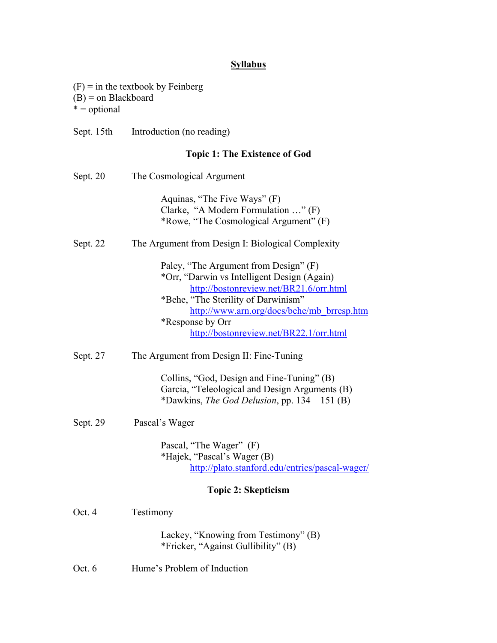## **Syllabus**

| $(B)$ = on Blackboard<br>$* =$ optional | $(F)$ = in the textbook by Feinberg                                                                                                                                                                                                                                                 |
|-----------------------------------------|-------------------------------------------------------------------------------------------------------------------------------------------------------------------------------------------------------------------------------------------------------------------------------------|
| Sept. 15th                              | Introduction (no reading)                                                                                                                                                                                                                                                           |
|                                         | <b>Topic 1: The Existence of God</b>                                                                                                                                                                                                                                                |
| Sept. 20                                | The Cosmological Argument                                                                                                                                                                                                                                                           |
|                                         | Aquinas, "The Five Ways" (F)<br>Clarke, "A Modern Formulation " (F)<br>*Rowe, "The Cosmological Argument" (F)                                                                                                                                                                       |
| Sept. 22                                | The Argument from Design I: Biological Complexity                                                                                                                                                                                                                                   |
|                                         | Paley, "The Argument from Design" (F)<br>*Orr, "Darwin vs Intelligent Design (Again)<br>http://bostonreview.net/BR21.6/orr.html<br>*Behe, "The Sterility of Darwinism"<br>http://www.arn.org/docs/behe/mb_brresp.htm<br>*Response by Orr<br>http://bostonreview.net/BR22.1/orr.html |
| Sept. 27                                | The Argument from Design II: Fine-Tuning                                                                                                                                                                                                                                            |
|                                         | Collins, "God, Design and Fine-Tuning" (B)<br>Garcia, "Teleological and Design Arguments (B)<br>*Dawkins, <i>The God Delusion</i> , pp. 134—151 (B)                                                                                                                                 |
| Sept. 29                                | Pascal's Wager                                                                                                                                                                                                                                                                      |
|                                         | Pascal, "The Wager" (F)<br>*Hajek, "Pascal's Wager (B)<br>http://plato.stanford.edu/entries/pascal-wager/                                                                                                                                                                           |
|                                         | <b>Topic 2: Skepticism</b>                                                                                                                                                                                                                                                          |
| Oct. 4                                  | Testimony                                                                                                                                                                                                                                                                           |
|                                         | Lackey, "Knowing from Testimony" (B)<br>*Fricker, "Against Gullibility" (B)                                                                                                                                                                                                         |

Oct. 6 Hume's Problem of Induction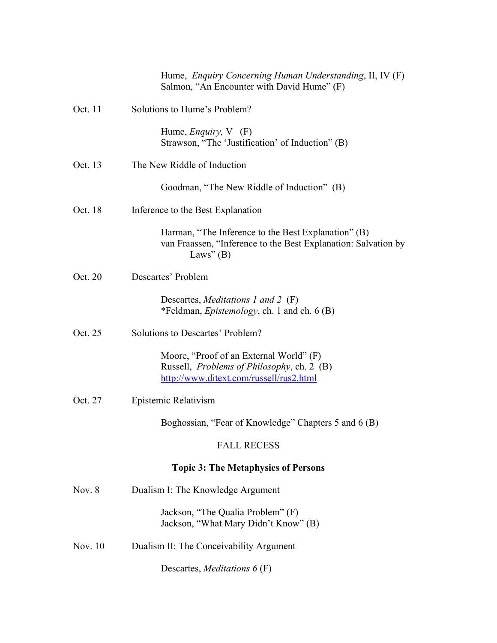|          | Hume, <i>Enquiry Concerning Human Understanding</i> , II, IV (F)<br>Salmon, "An Encounter with David Hume" (F)                           |
|----------|------------------------------------------------------------------------------------------------------------------------------------------|
| Oct. 11  | Solutions to Hume's Problem?                                                                                                             |
|          | Hume, <i>Enquiry</i> , $V$ (F)<br>Strawson, "The 'Justification' of Induction" (B)                                                       |
| Oct. 13  | The New Riddle of Induction                                                                                                              |
|          | Goodman, "The New Riddle of Induction" (B)                                                                                               |
| Oct. 18  | Inference to the Best Explanation                                                                                                        |
|          | Harman, "The Inference to the Best Explanation" (B)<br>van Fraassen, "Inference to the Best Explanation: Salvation by<br>Laws" $(B)$     |
| Oct. 20  | Descartes' Problem                                                                                                                       |
|          | Descartes, <i>Meditations 1 and 2</i> (F)<br>*Feldman, <i>Epistemology</i> , ch. 1 and ch. 6 (B)                                         |
| Oct. 25  | Solutions to Descartes' Problem?                                                                                                         |
|          | Moore, "Proof of an External World" (F)<br>Russell, <i>Problems of Philosophy</i> , ch. 2 (B)<br>http://www.ditext.com/russell/rus2.html |
| Oct. 27  | Epistemic Relativism                                                                                                                     |
|          | Boghossian, "Fear of Knowledge" Chapters 5 and 6 (B)                                                                                     |
|          | <b>FALL RECESS</b>                                                                                                                       |
|          | <b>Topic 3: The Metaphysics of Persons</b>                                                                                               |
| Nov. $8$ | Dualism I: The Knowledge Argument                                                                                                        |
|          | Jackson, "The Qualia Problem" (F)<br>Jackson, "What Mary Didn't Know" (B)                                                                |
| Nov. 10  | Dualism II: The Conceivability Argument                                                                                                  |
|          | Descartes, <i>Meditations</i> $6(F)$                                                                                                     |